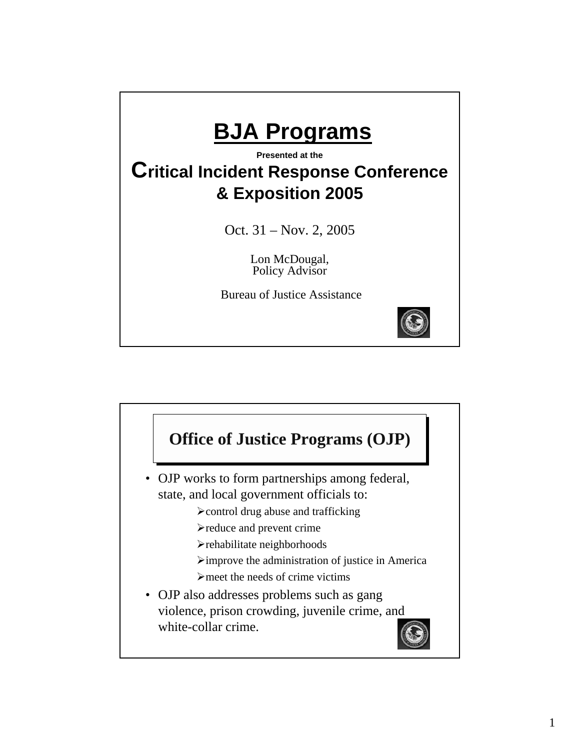

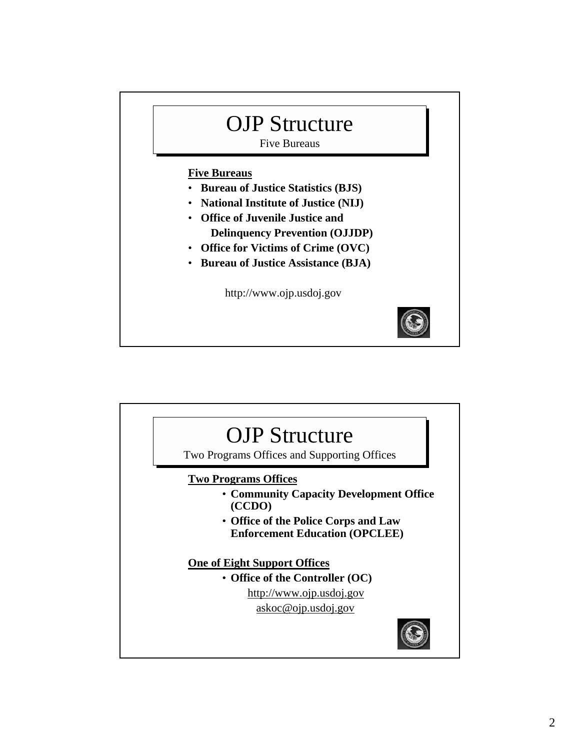# OJP Structure

Five Bureaus

#### **Five Bureaus**

- **Bureau of Justice Statistics (BJS)**
- **National Institute of Justice (NIJ)**
- **Office of Juvenile Justice and Delinquency Prevention (OJJDP)**
	-
- **Office for Victims of Crime (OVC)**
- **Bureau of Justice Assistance (BJA)**

http://www.ojp.usdoj.gov



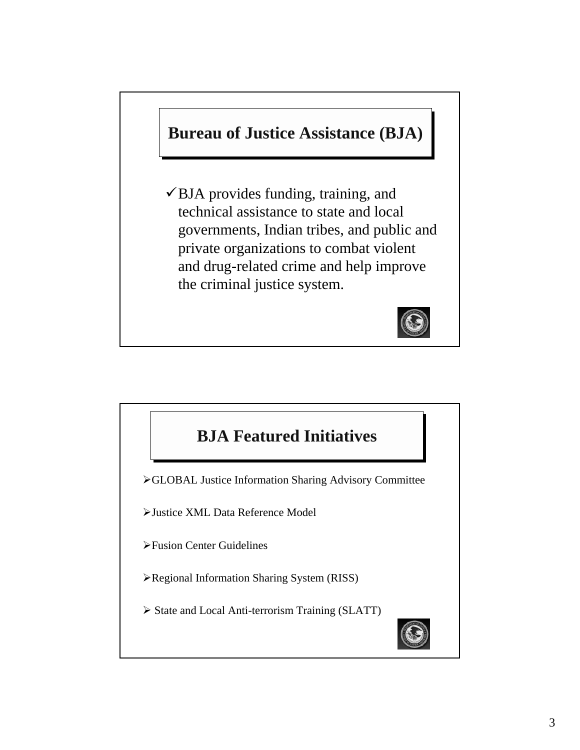# **Bureau of Justice Assistance (BJA)**

 $\checkmark$  BJA provides funding, training, and technical assistance to state and local governments, Indian tribes, and public and private organizations to combat violent and drug-related crime and help improve the criminal justice system.



# **BJA Featured Initiatives**

¾GLOBAL Justice Information Sharing Advisory Committee

¾Justice XML Data Reference Model

¾Fusion Center Guidelines

- ¾Regional Information Sharing System (RISS)
- ¾ State and Local Anti-terrorism Training (SLATT)

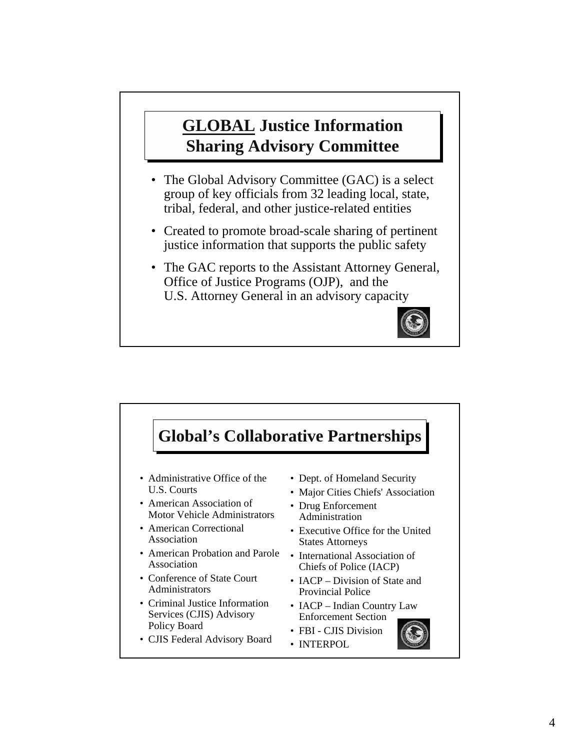# **GLOBAL Justice Information Sharing Advisory Committee**

- The Global Advisory Committee (GAC) is a select group of key officials from 32 leading local, state, tribal, federal, and other justice-related entities
- Created to promote broad-scale sharing of pertinent justice information that supports the public safety
- The GAC reports to the Assistant Attorney General, Office of Justice Programs (OJP), and the U.S. Attorney General in an advisory capacity



#### • Administrative Office of the U.S. Courts • American Association of Motor Vehicle Administrators • American Correctional Association • American Probation and Parole Association • Conference of State Court Administrators • Criminal Justice Information Services (CJIS) Advisory Policy Board • CJIS Federal Advisory Board • Dept. of Homeland Security • Major Cities Chiefs' Association • Drug Enforcement Administration • Executive Office for the United States Attorneys • International Association of Chiefs of Police (IACP) • **IACP** – Division of State and Provincial Police • IACP – Indian Country Law Enforcement Section • FBI - CJIS Division • INTERPOL **Global's Collaborative Partnerships**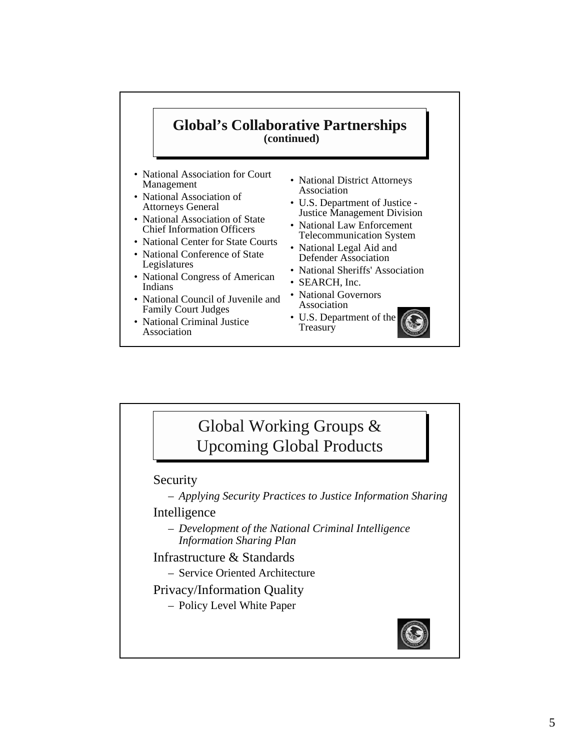#### **Global's Collaborative Partnerships (continued)**

- National Association for Court Management
- National Association of Attorneys General
- National Association of State Chief Information Officers
- National Center for State Courts
- National Conference of State Legislatures
- National Congress of American Indians
- National Council of Juvenile and Family Court Judges
- National Criminal Justice Association
- National District Attorneys Association
- U.S. Department of Justice Justice Management Division
- National Law Enforcement Telecommunication System
- National Legal Aid and Defender Association
- National Sheriffs' Association
- SEARCH, Inc.
- National Governors Association
- U.S. Department of the **Treasury**



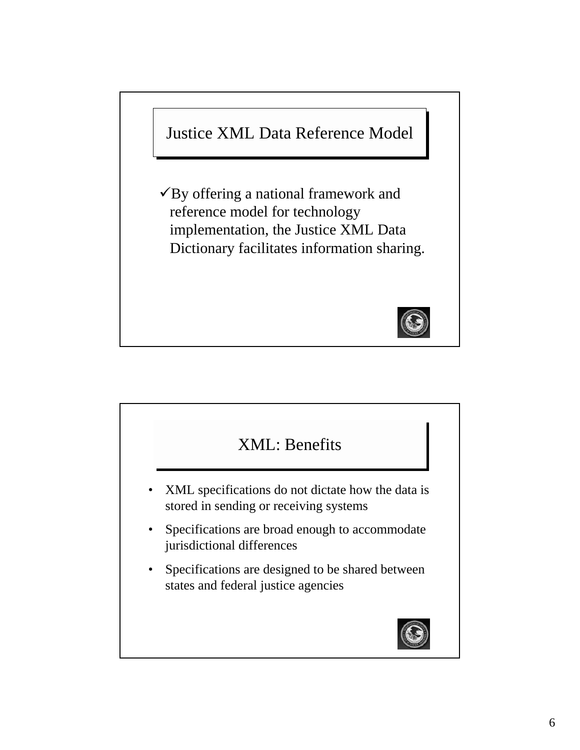

 $\checkmark$  By offering a national framework and reference model for technology implementation, the Justice XML Data Dictionary facilitates information sharing.



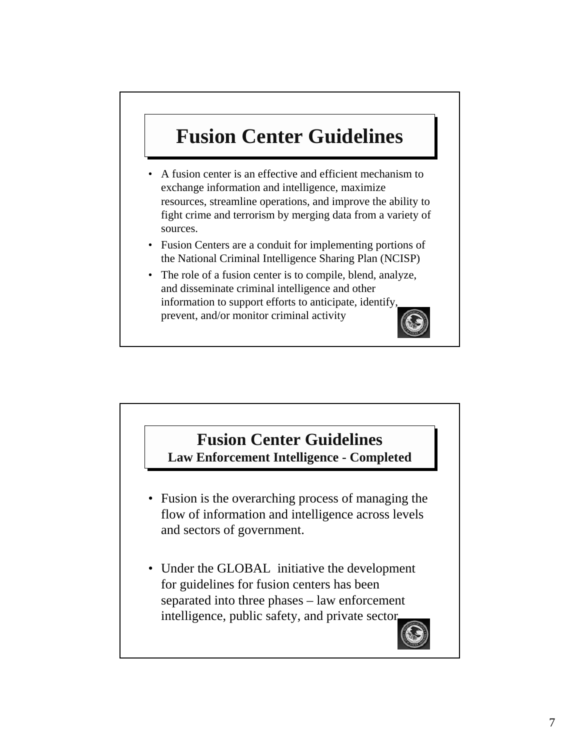# **Fusion Center Guidelines**

- A fusion center is an effective and efficient mechanism to exchange information and intelligence, maximize resources, streamline operations, and improve the ability to fight crime and terrorism by merging data from a variety of sources.
- Fusion Centers are a conduit for implementing portions of the National Criminal Intelligence Sharing Plan (NCISP)
- The role of a fusion center is to compile, blend, analyze, and disseminate criminal intelligence and other information to support efforts to anticipate, identify, prevent, and/or monitor criminal activity



### **Fusion Center Guidelines Law Enforcement Intelligence - Completed**

- Fusion is the overarching process of managing the flow of information and intelligence across levels and sectors of government.
- Under the GLOBAL initiative the development for guidelines for fusion centers has been separated into three phases – law enforcement intelligence, public safety, and private sector.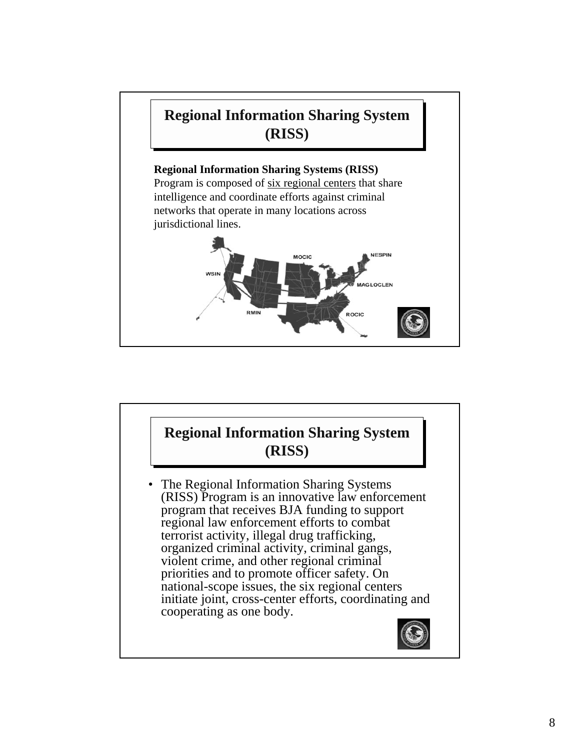

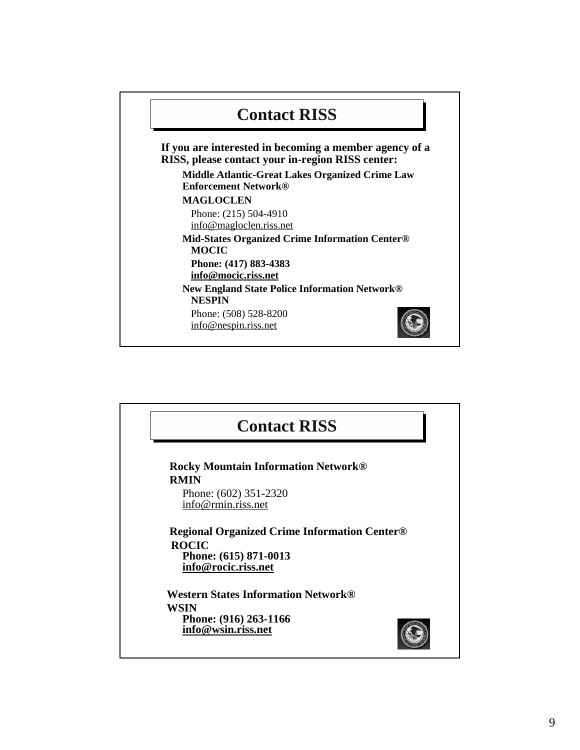

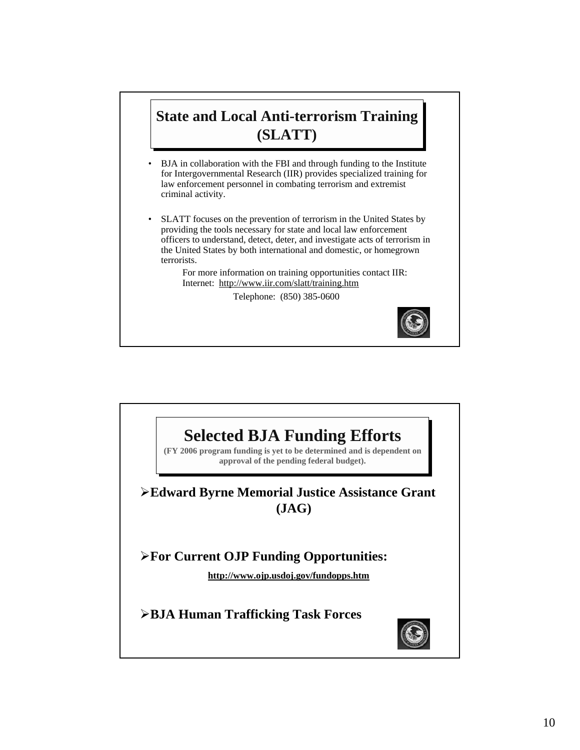## **State and Local Anti-terrorism Training (SLATT)**

- BJA in collaboration with the FBI and through funding to the Institute for Intergovernmental Research (IIR) provides specialized training for law enforcement personnel in combating terrorism and extremist criminal activity.
- SLATT focuses on the prevention of terrorism in the United States by providing the tools necessary for state and local law enforcement officers to understand, detect, deter, and investigate acts of terrorism in the United States by both international and domestic, or homegrown terrorists.

For more information on training opportunities contact IIR: Internet: http://www.iir.com/slatt/training.htm

Telephone: (850) 385-0600



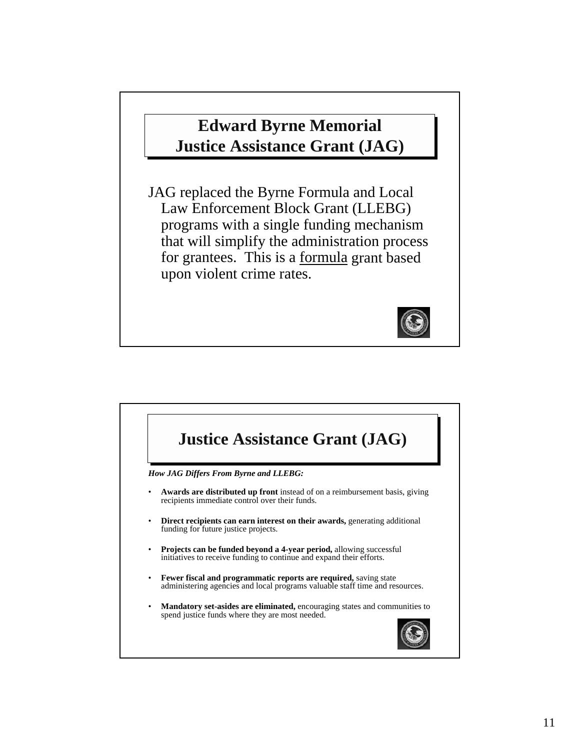# **Edward Byrne Memorial Justice Assistance Grant (JAG)**

JAG replaced the Byrne Formula and Local Law Enforcement Block Grant (LLEBG) programs with a single funding mechanism that will simplify the administration process for grantees. This is a formula grant based upon violent crime rates.



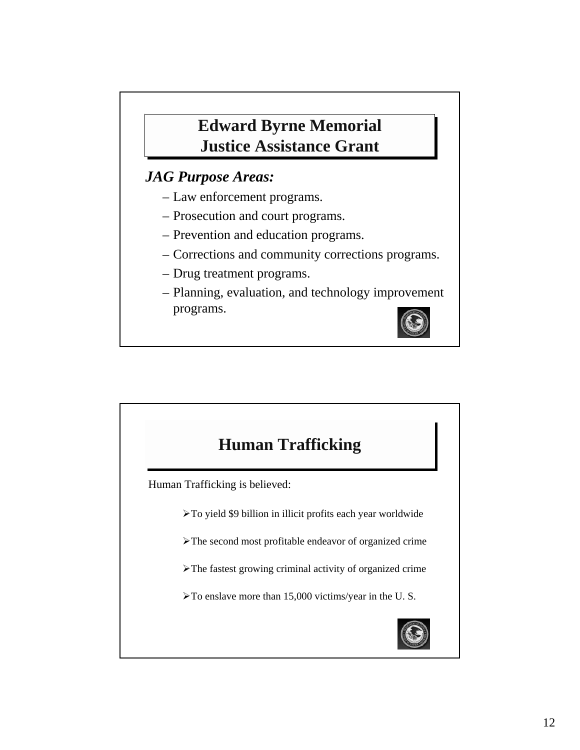# **Edward Byrne Memorial Justice Assistance Grant**

### *JAG Purpose Areas:*

- Law enforcement programs.
- Prosecution and court programs.
- Prevention and education programs.
- Corrections and community corrections programs.
- Drug treatment programs.
- Planning, evaluation, and technology improvement programs.



# **Human Trafficking**

Human Trafficking is believed:

¾To yield \$9 billion in illicit profits each year worldwide

¾The second most profitable endeavor of organized crime

¾The fastest growing criminal activity of organized crime

¾To enslave more than 15,000 victims/year in the U. S.

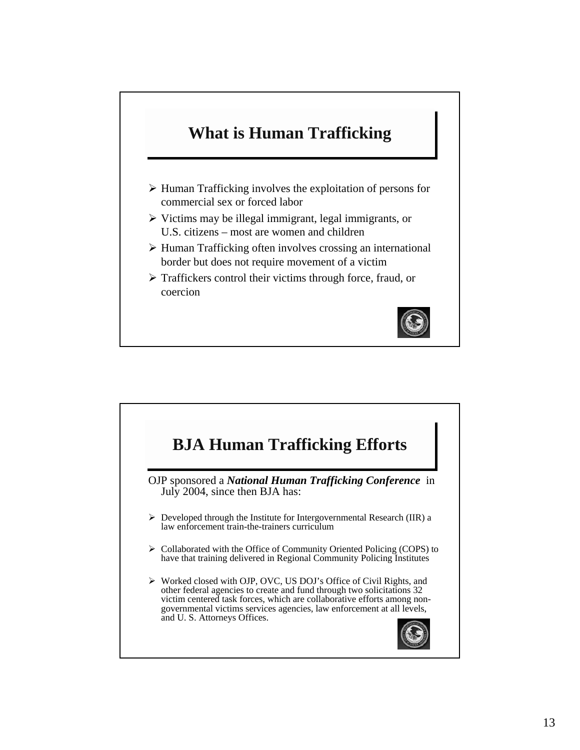# **What is Human Trafficking**

- $\triangleright$  Human Trafficking involves the exploitation of persons for commercial sex or forced labor
- $\triangleright$  Victims may be illegal immigrant, legal immigrants, or U.S. citizens – most are women and children
- $\triangleright$  Human Trafficking often involves crossing an international border but does not require movement of a victim
- $\triangleright$  Traffickers control their victims through force, fraud, or coercion